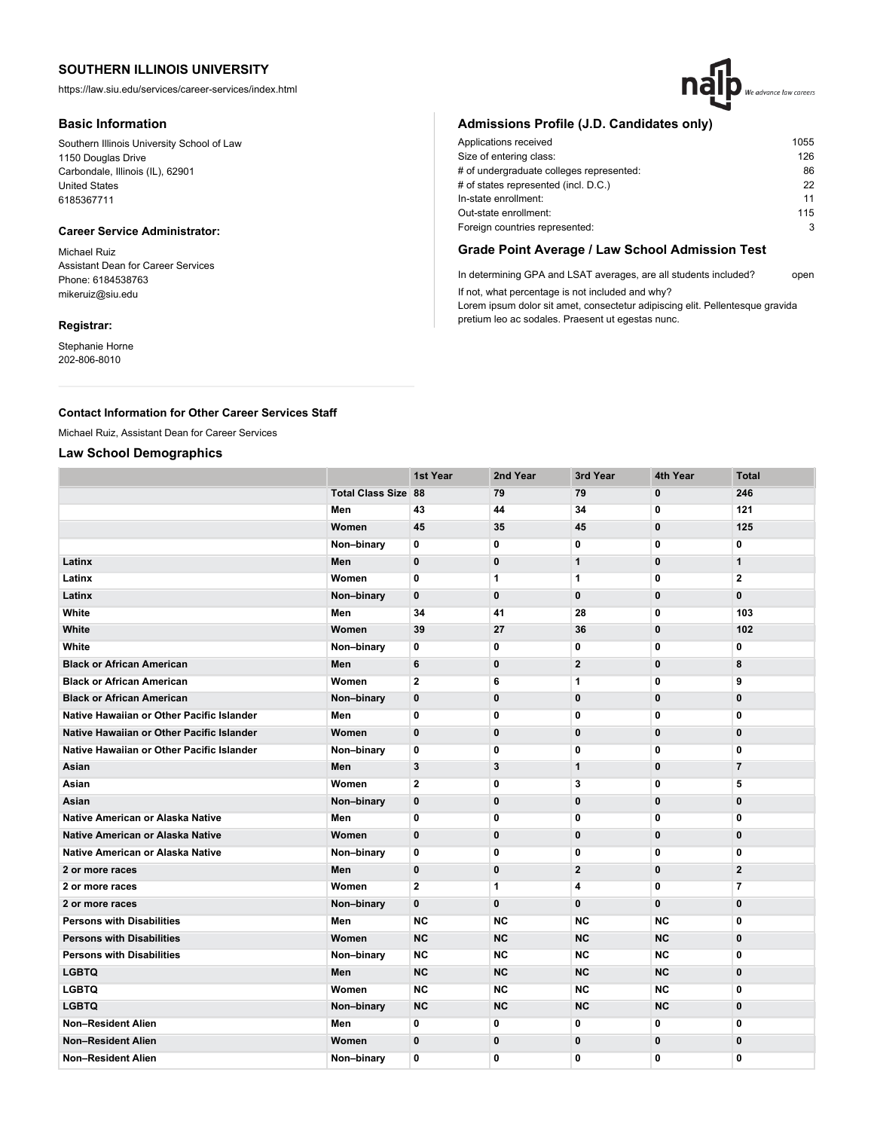https://law.siu.edu/services/career-services/index.html

### **Basic Information**

Southern Illinois University School of Law 1150 Douglas Drive Carbondale, Illinois (IL), 62901 United States 6185367711

# **Career Service Administrator:**

Michael Ruiz Assistant Dean for Career Services Phone: 6184538763 mikeruiz@siu.edu

### **Registrar:**

Stephanie Horne 202-806-8010

# **Admissions Profile (J.D. Candidates only)**

| Applications received                    | 1055 |
|------------------------------------------|------|
| Size of entering class:                  | 126  |
| # of undergraduate colleges represented: | 86   |
| # of states represented (incl. D.C.)     | 22   |
| In-state enrollment:                     | 11   |
| Out-state enrollment:                    | 115  |
| Foreign countries represented:           | 3    |
|                                          |      |

We advance law careers

# **Grade Point Average / Law School Admission Test**

In determining GPA and LSAT averages, are all students included? open If not, what percentage is not included and why?

Lorem ipsum dolor sit amet, consectetur adipiscing elit. Pellentesque gravida pretium leo ac sodales. Praesent ut egestas nunc.

### **Contact Information for Other Career Services Staff**

Michael Ruiz, Assistant Dean for Career Services

# **Law School Demographics**

|                                           |                            | 1st Year       | 2nd Year     | 3rd Year                | 4th Year    | <b>Total</b>   |
|-------------------------------------------|----------------------------|----------------|--------------|-------------------------|-------------|----------------|
|                                           | <b>Total Class Size 88</b> |                | 79           | 79                      | 0           | 246            |
|                                           | Men                        | 43             | 44           | 34                      | 0           | 121            |
|                                           | Women                      | 45             | 35           | 45                      | 0           | 125            |
|                                           | Non-binary                 | 0              | 0            | 0                       | 0           | 0              |
| Latinx                                    | Men                        | $\mathbf 0$    | 0            | $\mathbf{1}$            | 0           | $\mathbf{1}$   |
| Latinx                                    | Women                      | $\mathbf 0$    | 1            | 1                       | 0           | $\mathbf{2}$   |
| Latinx                                    | Non-binary                 | $\mathbf 0$    | $\bf{0}$     | $\mathbf 0$             | 0           | $\mathbf 0$    |
| White                                     | Men                        | 34             | 41           | 28                      | 0           | 103            |
| White                                     | Women                      | 39             | 27           | 36                      | 0           | 102            |
| White                                     | Non-binary                 | 0              | 0            | 0                       | 0           | 0              |
| <b>Black or African American</b>          | Men                        | 6              | $\bf{0}$     | $\overline{\mathbf{2}}$ | $\mathbf 0$ | 8              |
| <b>Black or African American</b>          | Women                      | $\mathbf{2}$   | 6            | 1                       | 0           | 9              |
| <b>Black or African American</b>          | Non-binary                 | $\mathbf 0$    | $\bf{0}$     | $\mathbf 0$             | $\mathbf 0$ | $\mathbf 0$    |
| Native Hawaiian or Other Pacific Islander | Men                        | $\mathbf 0$    | 0            | 0                       | 0           | $\mathbf 0$    |
| Native Hawaiian or Other Pacific Islander | Women                      | $\mathbf 0$    | $\mathbf 0$  | $\mathbf 0$             | $\mathbf 0$ | $\mathbf 0$    |
| Native Hawaiian or Other Pacific Islander | Non-binary                 | 0              | 0            | 0                       | 0           | 0              |
| Asian                                     | Men                        | 3              | 3            | $\mathbf{1}$            | 0           | $\overline{7}$ |
| Asian                                     | Women                      | $\mathbf{2}$   | 0            | 3                       | 0           | 5              |
| Asian                                     | Non-binary                 | $\mathbf 0$    | $\bf{0}$     | $\bf{0}$                | $\bf{0}$    | $\mathbf 0$    |
| Native American or Alaska Native          | Men                        | 0              | 0            | 0                       | 0           | 0              |
| Native American or Alaska Native          | Women                      | $\mathbf{0}$   | $\mathbf 0$  | $\mathbf 0$             | 0           | $\mathbf 0$    |
| Native American or Alaska Native          | Non-binary                 | 0              | 0            | 0                       | 0           | 0              |
| 2 or more races                           | Men                        | $\mathbf{0}$   | $\mathbf{0}$ | $\overline{2}$          | $\bf{0}$    | $\overline{2}$ |
| 2 or more races                           | Women                      | $\overline{2}$ | 1            | 4                       | 0           | $\overline{7}$ |
| 2 or more races                           | Non-binary                 | $\mathbf 0$    | $\mathbf 0$  | $\bf{0}$                | 0           | 0              |
| <b>Persons with Disabilities</b>          | Men                        | <b>NC</b>      | <b>NC</b>    | <b>NC</b>               | <b>NC</b>   | 0              |
| <b>Persons with Disabilities</b>          | Women                      | <b>NC</b>      | <b>NC</b>    | <b>NC</b>               | <b>NC</b>   | $\bf{0}$       |
| <b>Persons with Disabilities</b>          | Non-binary                 | <b>NC</b>      | <b>NC</b>    | <b>NC</b>               | <b>NC</b>   | 0              |
| <b>LGBTQ</b>                              | Men                        | <b>NC</b>      | <b>NC</b>    | <b>NC</b>               | <b>NC</b>   | $\bf{0}$       |
| <b>LGBTQ</b>                              | Women                      | <b>NC</b>      | <b>NC</b>    | <b>NC</b>               | <b>NC</b>   | $\mathbf 0$    |
| <b>LGBTQ</b>                              | Non-binary                 | <b>NC</b>      | <b>NC</b>    | <b>NC</b>               | <b>NC</b>   | $\mathbf{0}$   |
| Non-Resident Alien                        | Men                        | $\mathbf 0$    | 0            | 0                       | 0           | $\mathbf{0}$   |
| <b>Non-Resident Alien</b>                 | Women                      | $\mathbf 0$    | $\mathbf 0$  | $\mathbf 0$             | $\mathbf 0$ | $\mathbf 0$    |
| Non-Resident Alien                        | Non-binary                 | 0              | 0            | 0                       | 0           | 0              |
|                                           |                            |                |              |                         |             |                |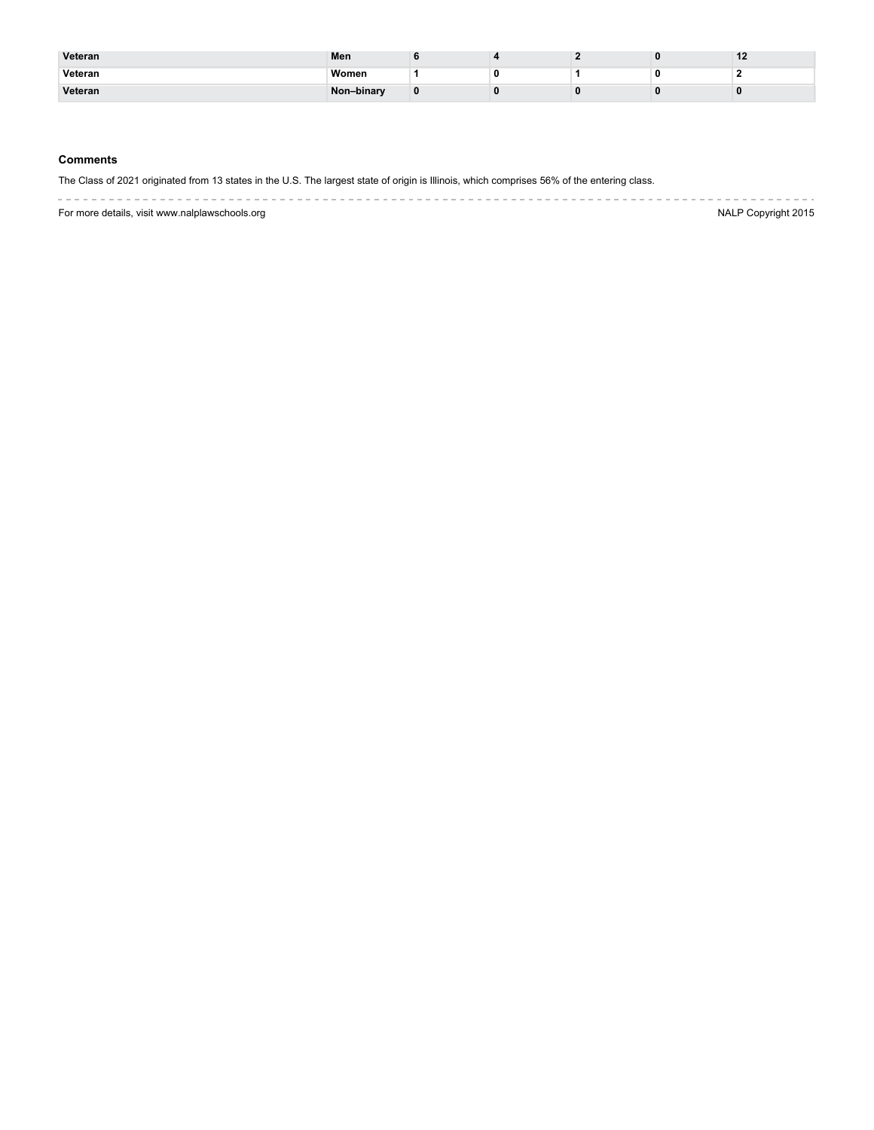| Veteran | Men        |  |  |  |
|---------|------------|--|--|--|
| Veteran | Women      |  |  |  |
| Veteran | Non-binary |  |  |  |

### **Comments**

The Class of 2021 originated from 13 states in the U.S. The largest state of origin is Illinois, which comprises 56% of the entering class.

For more details, visit www.nalplawschools.org **NALP Copyright 2015**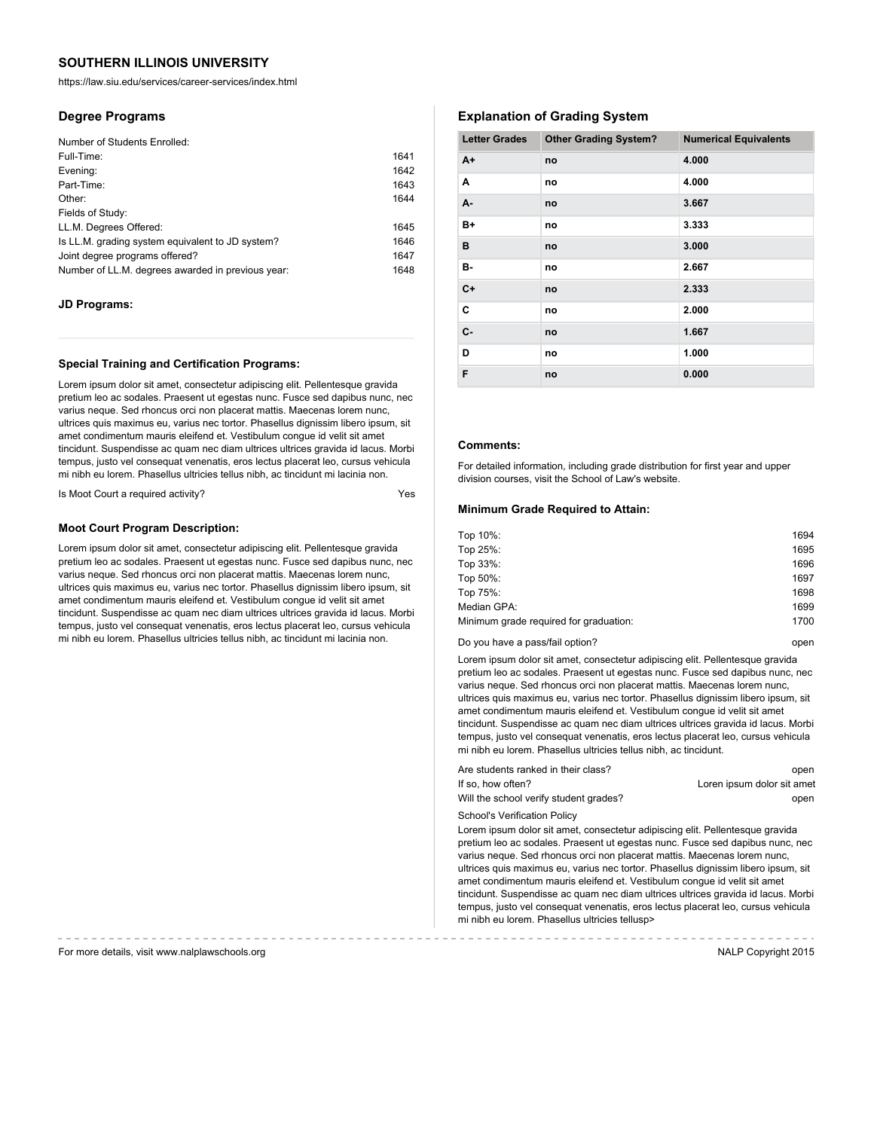https://law.siu.edu/services/career-services/index.html

### **Degree Programs**

| 1641 |
|------|
| 1642 |
| 1643 |
| 1644 |
|      |
| 1645 |
| 1646 |
| 1647 |
| 1648 |
|      |

### **JD Programs:**

### **Special Training and Certification Programs:**

Lorem ipsum dolor sit amet, consectetur adipiscing elit. Pellentesque gravida pretium leo ac sodales. Praesent ut egestas nunc. Fusce sed dapibus nunc, nec varius neque. Sed rhoncus orci non placerat mattis. Maecenas lorem nunc, ultrices quis maximus eu, varius nec tortor. Phasellus dignissim libero ipsum, sit amet condimentum mauris eleifend et. Vestibulum congue id velit sit amet tincidunt. Suspendisse ac quam nec diam ultrices ultrices gravida id lacus. Morbi tempus, justo vel consequat venenatis, eros lectus placerat leo, cursus vehicula mi nibh eu lorem. Phasellus ultricies tellus nibh, ac tincidunt mi lacinia non.

Is Moot Court a required activity?

#### **Moot Court Program Description:**

Lorem ipsum dolor sit amet, consectetur adipiscing elit. Pellentesque gravida pretium leo ac sodales. Praesent ut egestas nunc. Fusce sed dapibus nunc, nec varius neque. Sed rhoncus orci non placerat mattis. Maecenas lorem nunc, ultrices quis maximus eu, varius nec tortor. Phasellus dignissim libero ipsum, sit amet condimentum mauris eleifend et. Vestibulum congue id velit sit amet tincidunt. Suspendisse ac quam nec diam ultrices ultrices gravida id lacus. Morbi tempus, justo vel consequat venenatis, eros lectus placerat leo, cursus vehicula mi nibh eu lorem. Phasellus ultricies tellus nibh, ac tincidunt mi lacinia non.

# **Explanation of Grading System**

| <b>Letter Grades</b> | <b>Other Grading System?</b> | <b>Numerical Equivalents</b> |
|----------------------|------------------------------|------------------------------|
| $A+$                 | no                           | 4.000                        |
| A                    | no                           | 4.000                        |
| А-                   | no                           | 3.667                        |
| B+                   | no                           | 3.333                        |
| B                    | no                           | 3.000                        |
| в-                   | no                           | 2.667                        |
| $C+$                 | no                           | 2.333                        |
| C                    | no                           | 2.000                        |
| $C -$                | no                           | 1.667                        |
| D                    | no                           | 1.000                        |
| F                    | no                           | 0.000                        |

### **Comments:**

For detailed information, including grade distribution for first year and upper division courses, visit the School of Law's website.

### **Minimum Grade Required to Attain:**

| Top 10%:                               | 1694 |
|----------------------------------------|------|
| Top 25%:                               | 1695 |
| Top 33%:                               | 1696 |
| Top 50%:                               | 1697 |
| Top 75%:                               | 1698 |
| Median GPA:                            | 1699 |
| Minimum grade required for graduation: | 1700 |
|                                        |      |

| Do vou have a pass/fail option? | open |
|---------------------------------|------|
|---------------------------------|------|

Lorem ipsum dolor sit amet, consectetur adipiscing elit. Pellentesque gravida pretium leo ac sodales. Praesent ut egestas nunc. Fusce sed dapibus nunc, nec varius neque. Sed rhoncus orci non placerat mattis. Maecenas lorem nunc, ultrices quis maximus eu, varius nec tortor. Phasellus dignissim libero ipsum, sit amet condimentum mauris eleifend et. Vestibulum congue id velit sit amet tincidunt. Suspendisse ac quam nec diam ultrices ultrices gravida id lacus. Morbi tempus, justo vel consequat venenatis, eros lectus placerat leo, cursus vehicula mi nibh eu lorem. Phasellus ultricies tellus nibh, ac tincidunt.

| Are students ranked in their class?    | open                       |
|----------------------------------------|----------------------------|
| If so. how often?                      | Loren ipsum dolor sit amet |
| Will the school verify student grades? | open                       |

School's Verification Policy

Lorem ipsum dolor sit amet, consectetur adipiscing elit. Pellentesque gravida pretium leo ac sodales. Praesent ut egestas nunc. Fusce sed dapibus nunc, nec varius neque. Sed rhoncus orci non placerat mattis. Maecenas lorem nunc, ultrices quis maximus eu, varius nec tortor. Phasellus dignissim libero ipsum, sit amet condimentum mauris eleifend et. Vestibulum congue id velit sit amet tincidunt. Suspendisse ac quam nec diam ultrices ultrices gravida id lacus. Morbi tempus, justo vel consequat venenatis, eros lectus placerat leo, cursus vehicula mi nibh eu lorem. Phasellus ultricies tellusp>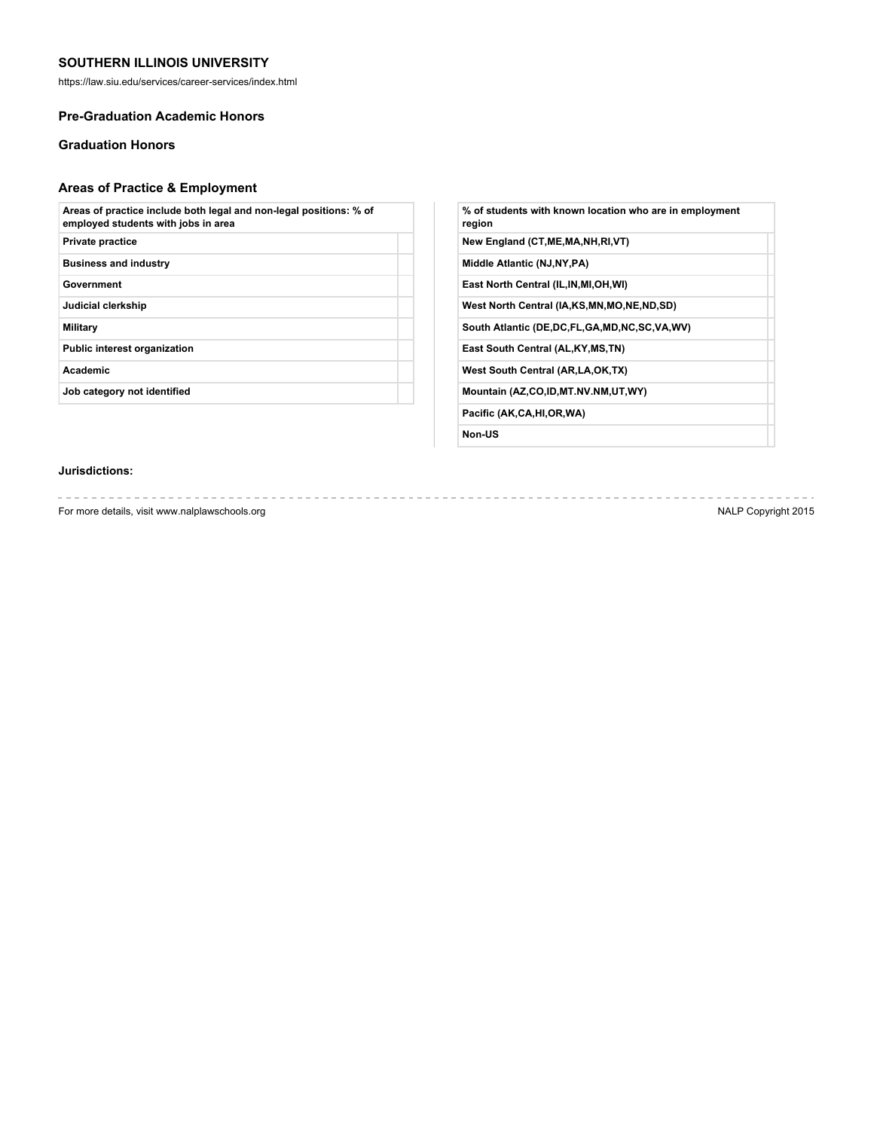https://law.siu.edu/services/career-services/index.html

# **Pre-Graduation Academic Honors**

# **Graduation Honors**

# **Areas of Practice & Employment**

| Areas of practice include both legal and non-legal positions: % of<br>employed students with jobs in area |  |
|-----------------------------------------------------------------------------------------------------------|--|
| <b>Private practice</b>                                                                                   |  |
| <b>Business and industry</b>                                                                              |  |
| Government                                                                                                |  |
| Judicial clerkship                                                                                        |  |
| Military                                                                                                  |  |
| <b>Public interest organization</b>                                                                       |  |
| Academic                                                                                                  |  |
| Job category not identified                                                                               |  |
|                                                                                                           |  |

| % of students with known location who are in employment<br>region |
|-------------------------------------------------------------------|
| New England (CT, ME, MA, NH, RI, VT)                              |
| Middle Atlantic (NJ, NY, PA)                                      |
| East North Central (IL, IN, MI, OH, WI)                           |
| West North Central (IA,KS,MN,MO,NE,ND,SD)                         |
| South Atlantic (DE, DC, FL, GA, MD, NC, SC, VA, WV)               |
| East South Central (AL, KY, MS, TN)                               |
| West South Central (AR, LA, OK, TX)                               |
| Mountain (AZ,CO,ID,MT.NV.NM,UT,WY)                                |
| Pacific (AK,CA,HI,OR,WA)                                          |
|                                                                   |

**Non-US**

# **Jurisdictions:**

For more details, visit www.nalplawschools.org NALP Copyright 2015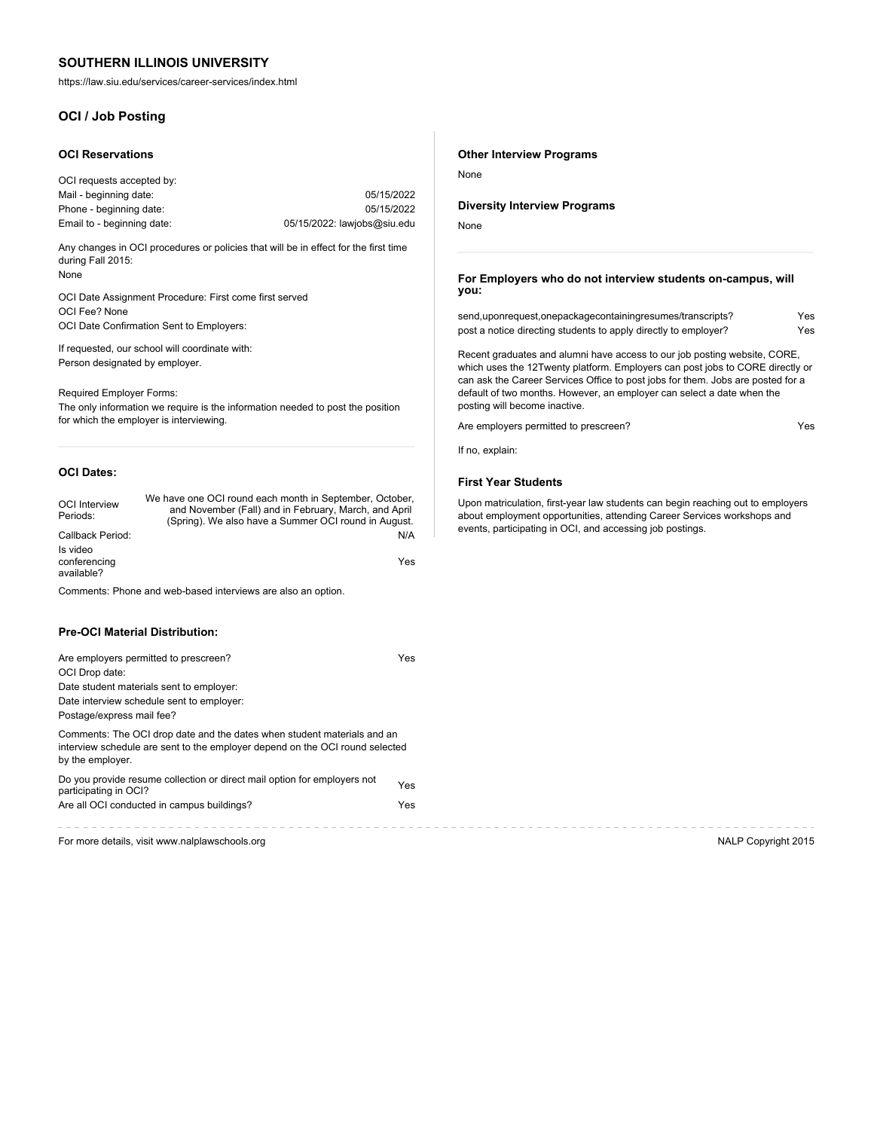https://law.siu.edu/services/career-services/index.html

# **OCI / Job Posting**

#### **OCI Reservations**

OCI requests accepted by: Mail - beginning date: 05/15/2022 Phone - beginning date: 05/15/2022 Email to - beginning date: 05/15/2022: lawjobs@siu.edu

Any changes in OCI procedures or policies that will be in effect for the first time during Fall 2015:

None

OCI Date Assignment Procedure: First come first served OCI Fee? None OCI Date Confirmation Sent to Employers:

If requested, our school will coordinate with: Person designated by employer.

#### Required Employer Forms:

The only information we require is the information needed to post the position for which the employer is interviewing.

# **OCI Dates:**

OCI Interview Periods: We have one OCI round each month in September, October, and November (Fall) and in February, March, and April (Spring). We also have a Summer OCI round in August. Callback Period: N/A Is video conferencing available? Yes

Comments: Phone and web-based interviews are also an option.

### **Pre-OCI Material Distribution:**

| Are employers permitted to prescreen?<br>OCI Drop date:                                                                                                                     | Yes. |
|-----------------------------------------------------------------------------------------------------------------------------------------------------------------------------|------|
| Date student materials sent to employer:<br>Date interview schedule sent to employer:<br>Postage/express mail fee?                                                          |      |
| Comments: The OCI drop date and the dates when student materials and an<br>interview schedule are sent to the employer depend on the OCI round selected<br>by the employer. |      |
| Do you provide resume collection or direct mail option for employers not<br>participating in OCI?                                                                           | Yes  |
| Are all OCI conducted in campus buildings?                                                                                                                                  | Yes. |
|                                                                                                                                                                             |      |

For more details, visit www.nalplawschools.org NALP Copyright 2015

#### **Other Interview Programs**

None

### **Diversity Interview Programs**

None

#### **For Employers who do not interview students on-campus, will you:**

| send, uponrequest, one package containing resumes/transcripts?  | Yes |
|-----------------------------------------------------------------|-----|
| post a notice directing students to apply directly to employer? | Yes |

Recent graduates and alumni have access to our job posting website, CORE, which uses the 12Twenty platform. Employers can post jobs to CORE directly or can ask the Career Services Office to post jobs for them. Jobs are posted for a default of two months. However, an employer can select a date when the posting will become inactive.

Are employers permitted to prescreen? The control of the SNS and Yes

If no, explain:

### **First Year Students**

Upon matriculation, first-year law students can begin reaching out to employers about employment opportunities, attending Career Services workshops and events, participating in OCI, and accessing job postings.